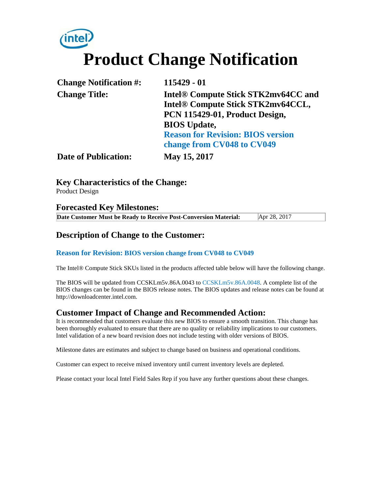# **Product Change Notification**

| <b>Change Notification #:</b> | 115429 - 01                              |
|-------------------------------|------------------------------------------|
| <b>Change Title:</b>          | Intel® Compute Stick STK2mv64CC and      |
|                               | Intel® Compute Stick STK2mv64CCL,        |
|                               | PCN 115429-01, Product Design,           |
|                               | <b>BIOS</b> Update,                      |
|                               | <b>Reason for Revision: BIOS version</b> |
|                               | change from CV048 to CV049               |
| <b>Date of Publication:</b>   | May 15, 2017                             |

**Key Characteristics of the Change:** Product Design

#### **Forecasted Key Milestones: Date Customer Must be Ready to Receive Post-Conversion Material:** Apr 28, 2017

#### **Description of Change to the Customer:**

#### **Reason for Revision: BIOS version change from CV048 to CV049**

The Intel® Compute Stick SKUs listed in the products affected table below will have the following change.

The BIOS will be updated from CCSKLm5v.86A.0043 to CCSKLm5v.86A.0048. A complete list of the BIOS changes can be found in the BIOS release notes. The BIOS updates and release notes can be found at http://downloadcenter.intel.com.

#### **Customer Impact of Change and Recommended Action:**

It is recommended that customers evaluate this new BIOS to ensure a smooth transition. This change has been thoroughly evaluated to ensure that there are no quality or reliability implications to our customers. Intel validation of a new board revision does not include testing with older versions of BIOS.

Milestone dates are estimates and subject to change based on business and operational conditions.

Customer can expect to receive mixed inventory until current inventory levels are depleted.

Please contact your local Intel Field Sales Rep if you have any further questions about these changes.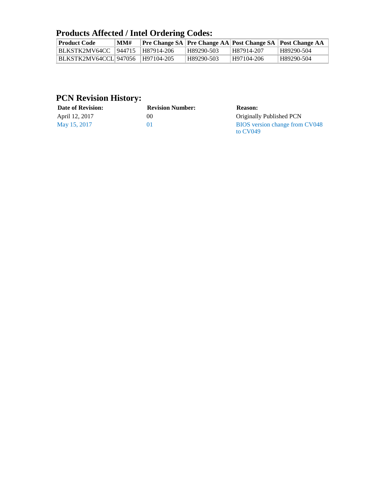## **Products Affected / Intel Ordering Codes:**

| <b>Product Code</b>    | MMH |            |            |              | <b>Pre Change SA Pre Change AA Post Change SA Post Change AA</b> |
|------------------------|-----|------------|------------|--------------|------------------------------------------------------------------|
| BLKSTK2MV64CC   944715 |     | H87914-206 | H89290-503 | ' H87914-207 | H89290-504                                                       |
| BLKSTK2MV64CCL 947056  |     | H97104-205 | H89290-503 | H97104-206   | H89290-504                                                       |

## **PCN Revision History:**

| <b>Date of Revision:</b> | <b>Revision Number:</b> | <b>Reason:</b>                               |
|--------------------------|-------------------------|----------------------------------------------|
| April 12, 2017           | 00                      | Originally Published PCN                     |
| May 15, 2017             |                         | BIOS version change from CV048<br>to $CV049$ |